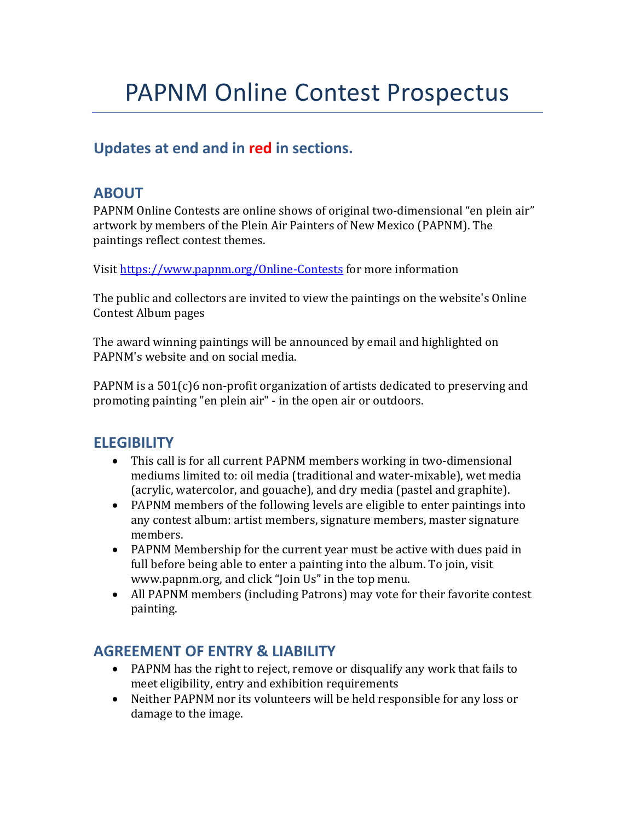# **Updates at end and in red in sections.**

## **ABOUT**

PAPNM Online Contests are online shows of original two-dimensional "en plein air" artwork by members of the Plein Air Painters of New Mexico (PAPNM). The paintings reflect contest themes.

Visit https://www.papnm.org/Online-Contests for more information

The public and collectors are invited to view the paintings on the website's Online Contest Album pages

The award winning paintings will be announced by email and highlighted on PAPNM's website and on social media.

PAPNM is a  $501(c)6$  non-profit organization of artists dedicated to preserving and promoting painting "en plein air" - in the open air or outdoors.

## **ELEGIBILITY**

- This call is for all current PAPNM members working in two-dimensional mediums limited to: oil media (traditional and water-mixable), wet media (acrylic, watercolor, and gouache), and dry media (pastel and graphite).
- PAPNM members of the following levels are eligible to enter paintings into any contest album: artist members, signature members, master signature members.
- PAPNM Membership for the current year must be active with dues paid in full before being able to enter a painting into the album. To join, visit www.papnm.org, and click "Join Us" in the top menu.
- All PAPNM members (including Patrons) may vote for their favorite contest painting.

## **AGREEMENT OF ENTRY & LIABILITY**

- PAPNM has the right to reject, remove or disqualify any work that fails to meet eligibility, entry and exhibition requirements
- Neither PAPNM nor its volunteers will be held responsible for any loss or damage to the image.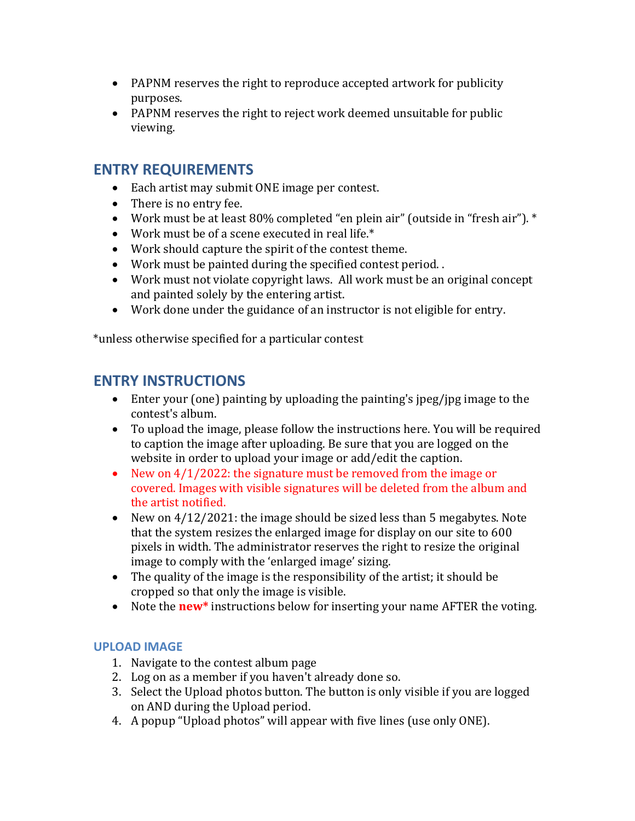- PAPNM reserves the right to reproduce accepted artwork for publicity purposes.
- PAPNM reserves the right to reject work deemed unsuitable for public viewing.

### **ENTRY REQUIREMENTS**

- Each artist may submit ONE image per contest.
- $\bullet$  There is no entry fee.
- Work must be at least 80% completed "en plein air" (outside in "fresh air"). \*
- Work must be of a scene executed in real life.\*
- Work should capture the spirit of the contest theme.
- $\bullet$  Work must be painted during the specified contest period..
- Work must not violate copyright laws. All work must be an original concept and painted solely by the entering artist.
- Work done under the guidance of an instructor is not eligible for entry.

\*unless otherwise specified for a particular contest 

### **ENTRY INSTRUCTIONS**

- Enter your (one) painting by uploading the painting's jpeg/jpg image to the contest's album.
- To upload the image, please follow the instructions here. You will be required to caption the image after uploading. Be sure that you are logged on the website in order to upload your image or add/edit the caption.
- New on  $4/1/2022$ : the signature must be removed from the image or covered. Images with visible signatures will be deleted from the album and the artist notified.
- New on  $4/12/2021$ : the image should be sized less than 5 megabytes. Note that the system resizes the enlarged image for display on our site to 600 pixels in width. The administrator reserves the right to resize the original image to comply with the 'enlarged image' sizing.
- The quality of the image is the responsibility of the artist; it should be cropped so that only the image is visible.
- Note the **new**\* instructions below for inserting your name AFTER the voting.

### **UPLOAD IMAGE**

- 1. Navigate to the contest album page
- 2. Log on as a member if you haven't already done so.
- 3. Select the Upload photos button. The button is only visible if you are logged on AND during the Upload period.
- 4. A popup "Upload photos" will appear with five lines (use only ONE).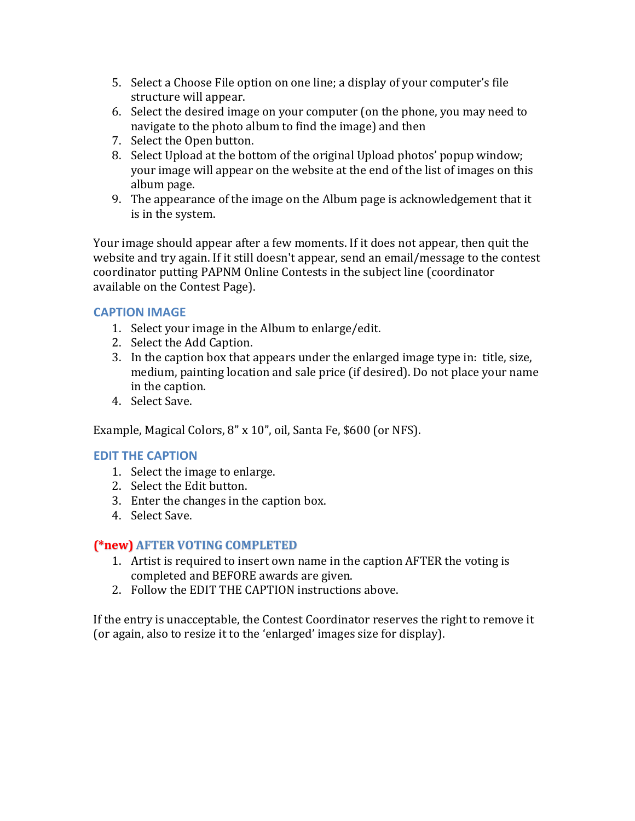- 5. Select a Choose File option on one line; a display of your computer's file structure will appear.
- 6. Select the desired image on your computer (on the phone, you may need to navigate to the photo album to find the image) and then
- 7. Select the Open button.
- 8. Select Upload at the bottom of the original Upload photos' popup window; your image will appear on the website at the end of the list of images on this album page.
- 9. The appearance of the image on the Album page is acknowledgement that it is in the system.

Your image should appear after a few moments. If it does not appear, then quit the website and try again. If it still doesn't appear, send an email/message to the contest coordinator putting PAPNM Online Contests in the subject line (coordinator available on the Contest Page).

### **CAPTION IMAGE**

- 1. Select your image in the Album to enlarge/edit.
- 2. Select the Add Caption.
- 3. In the caption box that appears under the enlarged image type in: title, size, medium, painting location and sale price (if desired). Do not place your name in the caption.
- 4. Select Save.

Example, Magical Colors, 8" x 10", oil, Santa Fe, \$600 (or NFS).

### **EDIT THE CAPTION**

- 1. Select the image to enlarge.
- 2. Select the Edit button.
- 3. Enter the changes in the caption box.
- 4. Select Save.

### **(\*new) AFTER VOTING COMPLETED**

- 1. Artist is required to insert own name in the caption AFTER the voting is completed and BEFORE awards are given.
- 2. Follow the EDIT THE CAPTION instructions above.

If the entry is unacceptable, the Contest Coordinator reserves the right to remove it (or again, also to resize it to the 'enlarged' images size for display).